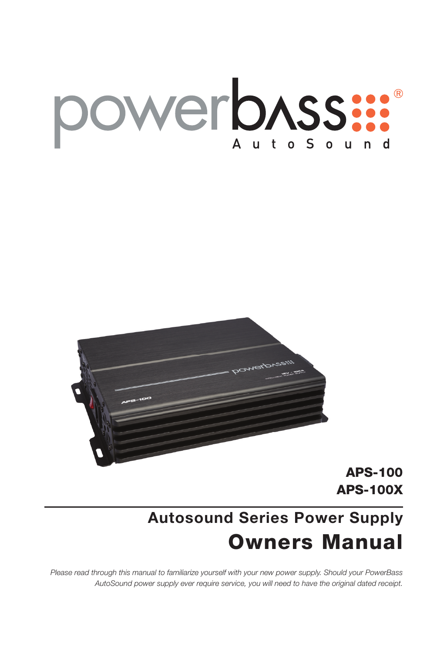# powerbASS:



APS-100 APS-100X

# **Autosound Series Power Supply** Owners Manual

*Please read through this manual to familiarize yourself with your new power supply. Should your PowerBass AutoSound power supply ever require service, you will need to have the original dated receipt.*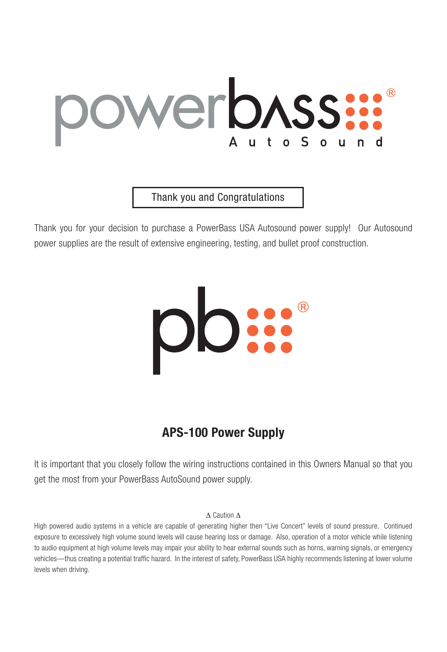# WerbASS:

Thank you and Congratulations

Thank you for your decision to purchase a PowerBass USA Autosound power supply! Our Autosound power supplies are the result of extensive engineering, testing, and bullet proof construction.



# **APS-100 Power Supply**

It is important that you closely follow the wiring instructions contained in this Owners Manual so that you get the most from your PowerBass AutoSound power supply.

#### ∆ Caution ∆

High powered audio systems in a vehicle are capable of generating higher then "Live Concert" levels of sound pressure. Continued exposure to excessively high volume sound levels will cause hearing loss or damage. Also, operation of a motor vehicle while listening to audio equipment at high volume levels may impair your ability to hear external sounds such as horns, warning signals, or emergency vehicles—thus creating a potential traffic hazard. In the interest of safety, PowerBass USA highly recommends listening at lower volume levels when driving.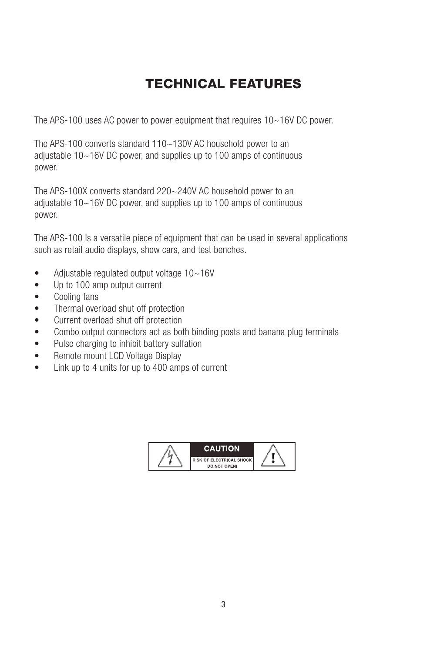# TECHNICAL FEATURES

The APS-100 uses AC power to power equipment that requires 10~16V DC power.

The APS-100 converts standard 110~130V AC household power to an adjustable 10~16V DC power, and supplies up to 100 amps of continuous power.

The APS-100X converts standard 220~240V AC household power to an adjustable 10~16V DC power, and supplies up to 100 amps of continuous power.

The APS-100 Is a versatile piece of equipment that can be used in several applications such as retail audio displays, show cars, and test benches.

- Adjustable regulated output voltage 10~16V
- Up to 100 amp output current
- • Cooling fans
- Thermal overload shut off protection
- • Current overload shut off protection
- Combo output connectors act as both binding posts and banana plug terminals
- Pulse charging to inhibit battery sulfation
- Remote mount LCD Voltage Display
- Link up to 4 units for up to 400 amps of current

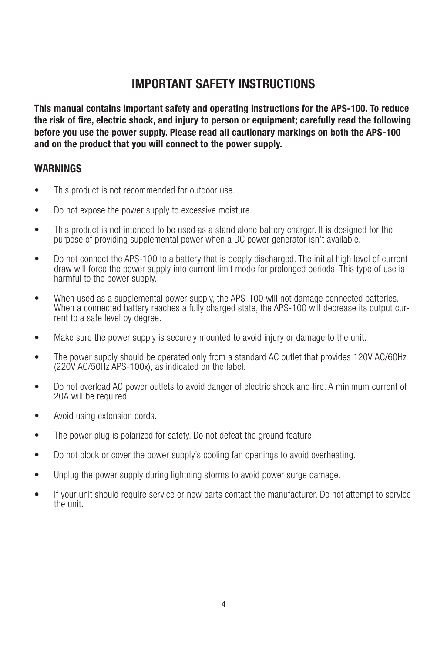## **IMPORTANT SAFETY INSTRUCTIONS**

**This manual contains important safety and operating instructions for the APS-100. To reduce the risk of fire, electric shock, and injury to person or equipment; carefully read the following before you use the power supply. Please read all cautionary markings on both the APS-100 and on the product that you will connect to the power supply.**

#### **WARNINGS**

- This product is not recommended for outdoor use.
- Do not expose the power supply to excessive moisture.
- This product is not intended to be used as a stand alone battery charger. It is designed for the purpose of providing supplemental power when a DC power generator isn't available.
- Do not connect the APS-100 to a battery that is deeply discharged. The initial high level of current draw will force the power supply into current limit mode for prolonged periods. This type of use is harmful to the power supply.
- When used as a supplemental power supply, the APS-100 will not damage connected batteries. When a connected battery reaches a fully charged state, the APS-100 will decrease its output current to a safe level by degree.
- Make sure the power supply is securely mounted to avoid injury or damage to the unit.
- The power supply should be operated only from a standard AC outlet that provides 120V AC/60Hz (220V AC/50Hz APS-100x), as indicated on the label.
- Do not overload AC power outlets to avoid danger of electric shock and fire. A minimum current of 20A will be required.
- Avoid using extension cords.
- The power plug is polarized for safety. Do not defeat the ground feature.
- Do not block or cover the power supply's cooling fan openings to avoid overheating.
- Unplug the power supply during lightning storms to avoid power surge damage.
- If your unit should require service or new parts contact the manufacturer. Do not attempt to service the unit.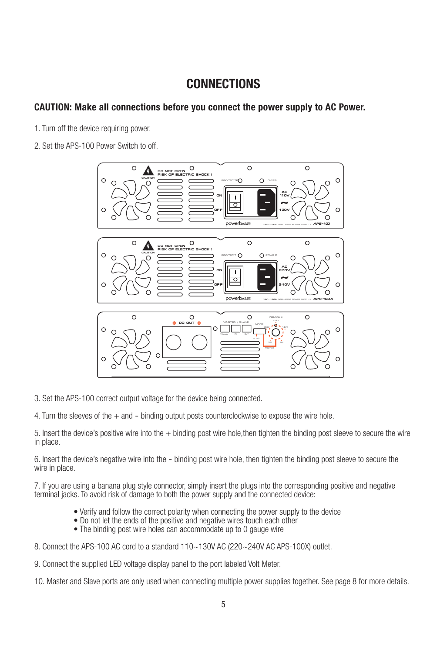#### **CONNECTIONS**

#### **CAUTION: Make all connections before you connect the power supply to AC Power.**

- 1. Turn off the device requiring power.
- 2. Set the APS-100 Power Switch to off.



3. Set the APS-100 correct output voltage for the device being connected.

4. Turn the sleeves of the + and - binding output posts counterclockwise to expose the wire hole.

5. Insert the device's positive wire into the + binding post wire hole,then tighten the binding post sleeve to secure the wire in place.

6. Insert the device's negative wire into the - binding post wire hole, then tighten the binding post sleeve to secure the wire in place.

7. If you are using a banana plug style connector, simply insert the plugs into the corresponding positive and negative terminal jacks. To avoid risk of damage to both the power supply and the connected device:

- Verify and follow the correct polarity when connecting the power supply to the device
- Do not let the ends of the positive and negative wires touch each other
- The binding post wire holes can accommodate up to 0 gauge wire
- 8. Connect the APS-100 AC cord to a standard 110~130V AC (220~240V AC APS-100X) outlet.
- 9. Connect the supplied LED voltage display panel to the port labeled Volt Meter.

10. Master and Slave ports are only used when connecting multiple power supplies together. See page 8 for more details.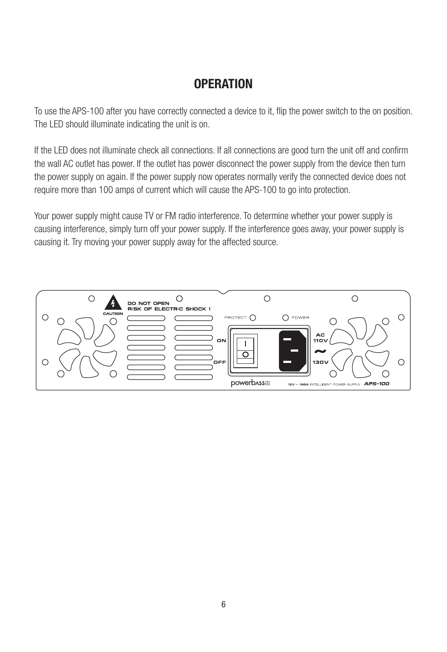# **OPERATION**

To use the APS-100 after you have correctly connected a device to it, flip the power switch to the on position. The LED should illuminate indicating the unit is on.

If the LED does not illuminate check all connections. If all connections are good turn the unit off and confirm the wall AC outlet has power. If the outlet has power disconnect the power supply from the device then turn the power supply on again. If the power supply now operates normally verify the connected device does not require more than 100 amps of current which will cause the APS-100 to go into protection.

Your power supply might cause TV or FM radio interference. To determine whether your power supply is causing interference, simply turn off your power supply. If the interference goes away, your power supply is causing it. Try moving your power supply away for the affected source.

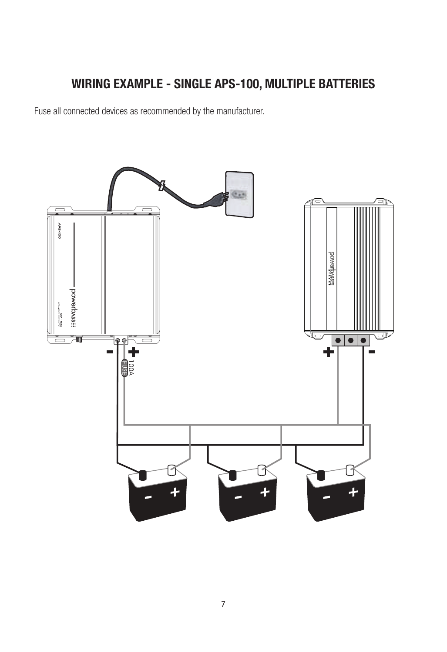# **WIRING EXAMPLE - SINGLE APS-100, MULTIPLE BATTERIES**

Fuse all connected devices as recommended by the manufacturer.

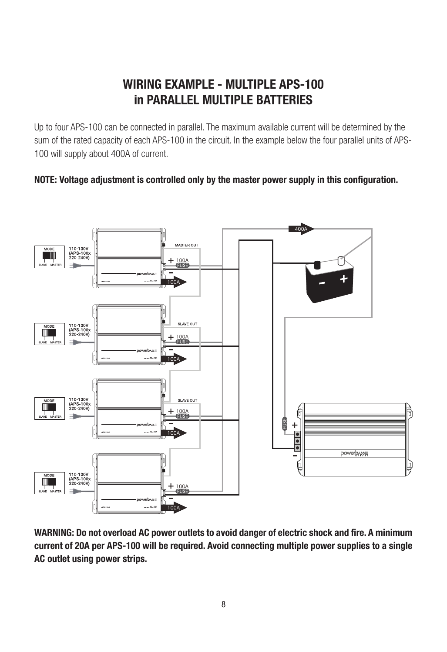# **WIRING EXAMPLE - MULTIPLE APS-100 in PARALLEL MULTIPLE BATTERIES**

Up to four APS-100 can be connected in parallel. The maximum available current will be determined by the sum of the rated capacity of each APS-100 in the circuit. In the example below the four parallel units of APS-100 will supply about 400A of current.

#### **NOTE: Voltage adjustment is controlled only by the master power supply in this configuration.**



**WARNING: Do not overload AC power outlets to avoid danger of electric shock and fire. A minimum current of 20A per APS-100 will be required. Avoid connecting multiple power supplies to a single AC outlet using power strips.**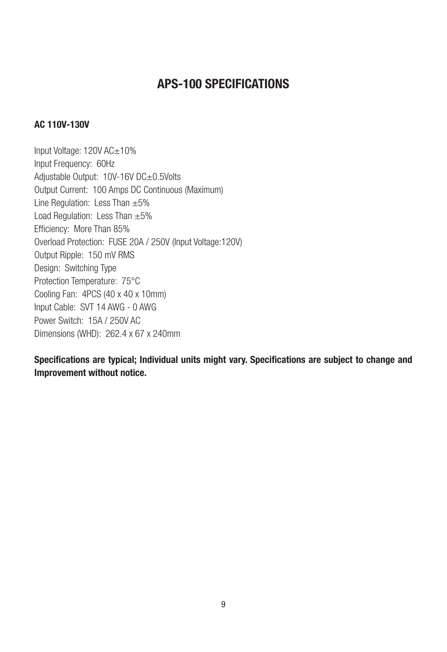## **APS-100 SPECIFICATIONS**

#### **AC 110V-130V**

Input Voltage: 120V AC±10% Input Frequency: 60Hz Adjustable Output: 10V-16V DC±0.5Volts Output Current: 100 Amps DC Continuous (Maximum) Line Regulation: Less Than ±5% Load Regulation: Less Than  $\pm 5\%$ Efficiency: More Than 85% Overload Protection: FUSE 20A / 250V (Input Voltage:120V) Output Ripple: 150 mV RMS Design: Switching Type Protection Temperature: 75°C Cooling Fan: 4PCS (40 x 40 x 10mm) Input Cable: SVT 14 AWG - 0 AWG Power Switch: 15A / 250V AC Dimensions (WHD): 262.4 x 67 x 240mm

**Specifications are typical; Individual units might vary. Specifications are subject to change and Improvement without notice.**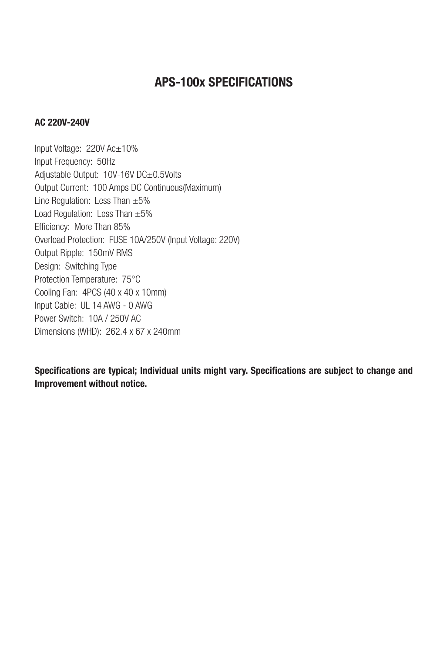### **APS-100x SPECIFICATIONS**

#### **AC 220V-240V**

Input Voltage: 220V Ac±10% Input Frequency: 50Hz Adjustable Output: 10V-16V DC±0.5Volts Output Current: 100 Amps DC Continuous(Maximum) Line Regulation: Less Than  $\pm 5\%$ Load Regulation: Less Than  $\pm 5\%$ Efficiency: More Than 85% Overload Protection: FUSE 10A/250V (Input Voltage: 220V) Output Ripple: 150mV RMS Design: Switching Type Protection Temperature: 75°C Cooling Fan: 4PCS (40 x 40 x 10mm) Input Cable: UL 14 AWG - 0 AWG Power Switch: 10A / 250V AC Dimensions (WHD): 262.4 x 67 x 240mm

**Specifications are typical; Individual units might vary. Specifications are subject to change and Improvement without notice.**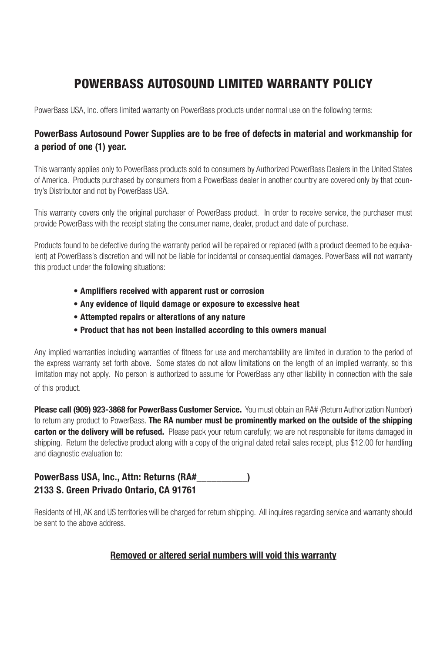# POWERBASS AUTOSOUND LIMITED WARRANTY POLICY

PowerBass USA, Inc. offers limited warranty on PowerBass products under normal use on the following terms:

#### **PowerBass Autosound Power Supplies are to be free of defects in material and workmanship for a period of one (1) year.**

This warranty applies only to PowerBass products sold to consumers by Authorized PowerBass Dealers in the United States of America. Products purchased by consumers from a PowerBass dealer in another country are covered only by that country's Distributor and not by PowerBass USA.

This warranty covers only the original purchaser of PowerBass product. In order to receive service, the purchaser must provide PowerBass with the receipt stating the consumer name, dealer, product and date of purchase.

Products found to be defective during the warranty period will be repaired or replaced (with a product deemed to be equivalent) at PowerBass's discretion and will not be liable for incidental or consequential damages. PowerBass will not warranty this product under the following situations:

- **Amplifiers received with apparent rust or corrosion**
- **• Any evidence of liquid damage or exposure to excessive heat**
- **• Attempted repairs or alterations of any nature**
- **• Product that has not been installed according to this owners manual**

Any implied warranties including warranties of fitness for use and merchantability are limited in duration to the period of the express warranty set forth above. Some states do not allow limitations on the length of an implied warranty, so this limitation may not apply. No person is authorized to assume for PowerBass any other liability in connection with the sale of this product.

**Please call (909) 923-3868 for PowerBass Customer Service.** You must obtain an RA# (Return Authorization Number) to return any product to PowerBass. **The RA number must be prominently marked on the outside of the shipping carton or the delivery will be refused.** Please pack your return carefully; we are not responsible for items damaged in shipping. Return the defective product along with a copy of the original dated retail sales receipt, plus \$12.00 for handling and diagnostic evaluation to:

#### **PowerBass USA, Inc., Attn: Returns (RA#\_\_\_\_\_\_\_\_\_\_) 2133 S. Green Privado Ontario, CA 91761**

Residents of HI, AK and US territories will be charged for return shipping. All inquires regarding service and warranty should be sent to the above address.

#### **Removed or altered serial numbers will void this warranty**